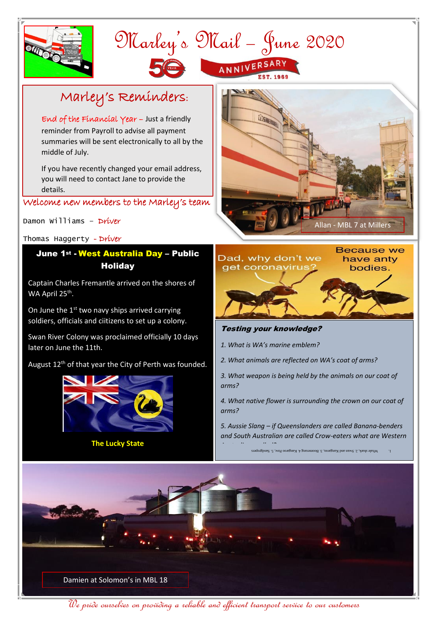



## Marley's Reminders:

End of the Financial Year – Just a friendly reminder from Payroll to advise all payment summaries will be sent electronically to all by the middle of July.

If you have recently changed your email address, you will need to contact Jane to provide the details.

Welcome new members to the Marley's team

Damon Williams – Driver

Thomas Haggerty - Driver

## June 1st - West Australia Day – Public **Holiday**

Captain Charles Fremantle arrived on the shores of WA April 25<sup>th</sup>.

On June the  $1<sup>st</sup>$  two navy ships arrived carrying soldiers, officials and ciitizens to set up a colony.

Swan River Colony was proclaimed officially 10 days later on June the 11th.

August 12<sup>th</sup> of that year the City of Perth was founded.



**The Lucky State**





## Testing your knowledge?

- *1. What is WA's marine emblem?*
- *2. What animals are reflected on WA's coat of arms?*
- *3. What weapon is being held by the animals on our coat of arms?*

*4. What native flower is surrounding the crown on our coat of arms?*

*5. Aussie Slang – if Queenslanders are called Banana-benders and South Australian are called Crow-eaters what are Western* 

*Australians called?* Whale shark, 2. Swan and Kangaroo, 3. Boomerang 4. Kangaroo Paw, 5. Sar



We pride ourselves on providing a reliable and efficient transport service to our customers